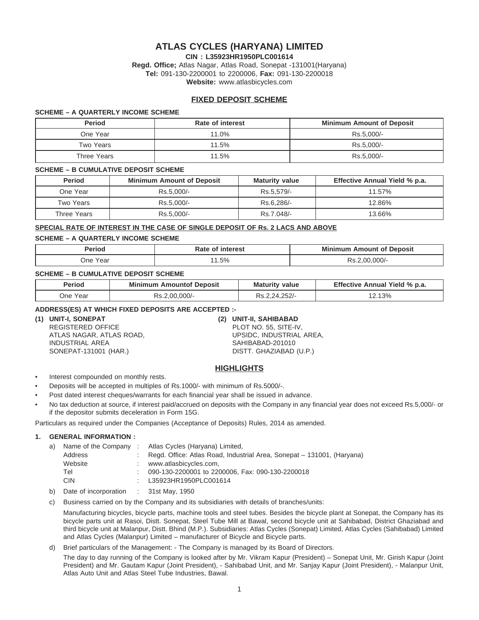# **ATLAS CYCLES (HARYANA) LIMITED**

**CIN : L35923HR1950PLC001614**

**Regd. Office;** Atlas Nagar, Atlas Road, Sonepat -131001(Haryana) **Tel:** 091-130-2200001 to 2200006, **Fax:** 091-130-2200018 **Website:** www.atlasbicycles.com

# **FIXED DEPOSIT SCHEME**

#### **SCHEME – A QUARTERLY INCOME SCHEME**

| <b>Period</b> | Rate of interest | <b>Minimum Amount of Deposit</b> |
|---------------|------------------|----------------------------------|
| One Year      | 11.0%            | Rs.5.000/-                       |
| Two Years     | 11.5%            | Rs.5.000/-                       |
| Three Years   | 11.5%            | Rs.5.000/-                       |

#### **SCHEME – B CUMULATIVE DEPOSIT SCHEME**

| Period      | <b>Minimum Amount of Deposit</b> | <b>Maturity value</b> | Effective Annual Yield % p.a. |
|-------------|----------------------------------|-----------------------|-------------------------------|
| One Year    | Rs.5.000/-                       | Rs.5.579/-            | 11.57%                        |
| Two Years   | Rs.5.000/-                       | Rs.6.286/-            | 12.86%                        |
| Three Years | Rs.5.000/-                       | Rs.7.048/-            | 13.66%                        |

## **SPECIAL RATE OF INTEREST IN THE CASE OF SINGLE DEPOSIT OF Rs. 2 LACS AND ABOVE**

#### **SCHEME – A QUARTERLY INCOME SCHEME**

| <b>Perio</b> u   | erest    | .<br>nosit<br>∩unt<br>Mir<br>$  -$ |
|------------------|----------|------------------------------------|
| Year<br>One<br>. | .5%<br>. | 000/<br>۔ د                        |

#### **SCHEME – B CUMULATIVE DEPOSIT SCHEME**

| Period   | Minimum<br><b>Amountof Deposit</b> | <b>Maturity value</b> | Effective Annual Yield % p.a. |
|----------|------------------------------------|-----------------------|-------------------------------|
| One Year | $.00.000/-$<br>Rs.                 | $2,24,252$ /-         | 2.13%                         |

## **ADDRESS(ES) AT WHICH FIXED DEPOSITS ARE ACCEPTED :-**

**(1) UNIT-I, SONEPAT (2) UNIT-II, SAHIBABAD** ATLAS NAGAR, ATLAS ROAD, THE SERVICE OF SUPSIDC, INDUSTRIAL AREA, INDUSTRIAL AREA SAHIBABAD-201010 SONEPAT-131001 (HAR.) DISTT. GHAZIABAD (U.P.)

PLOT NO. 55, SITE-IV,

## **HIGHLIGHTS**

• Interest compounded on monthly rests.

- Deposits will be accepted in multiples of Rs.1000/- with minimum of Rs.5000/-.
- Post dated interest cheques/warrants for each financial year shall be issued in advance.
- No tax deduction at source, if interest paid/accrued on deposits with the Company in any financial year does not exceed Rs.5,000/- or if the depositor submits deceleration in Form 15G.

Particulars as required under the Companies (Acceptance of Deposits) Rules, 2014 as amended.

## **1. GENERAL INFORMATION :**

|    | $\mathsf{L} \setminus \mathsf{R}$ |                                                                          |
|----|-----------------------------------|--------------------------------------------------------------------------|
|    | CIN                               | : L35923HR1950PLC001614                                                  |
|    | Tel                               | 090-130-2200001 to 2200006. Fax: 090-130-2200018                         |
|    | Website                           | www.atlasbicycles.com,                                                   |
|    | Address                           | : Regd. Office: Atlas Road, Industrial Area, Sonepat – 131001, (Haryana) |
| a) | Name of the Company:              | Atlas Cycles (Haryana) Limited,                                          |

b) Date of incorporation : 31st May, 1950

c) Business carried on by the Company and its subsidiaries with details of branches/units:

Manufacturing bicycles, bicycle parts, machine tools and steel tubes. Besides the bicycle plant at Sonepat, the Company has its bicycle parts unit at Rasoi, Distt. Sonepat, Steel Tube Mill at Bawal, second bicycle unit at Sahibabad, District Ghaziabad and third bicycle unit at Malanpur, Distt. Bhind (M.P.). Subsidiaries: Atlas Cycles (Sonepat) Limited, Atlas Cycles (Sahibabad) Limited and Atlas Cycles (Malanpur) Limited – manufacturer of Bicycle and Bicycle parts.

#### d) Brief particulars of the Management: - The Company is managed by its Board of Directors. The day to day running of the Company is looked after by Mr. Vikram Kapur (President) – Sonepat Unit, Mr. Girish Kapur (Joint President) and Mr. Gautam Kapur (Joint President), - Sahibabad Unit, and Mr. Sanjay Kapur (Joint President), - Malanpur Unit, Atlas Auto Unit and Atlas Steel Tube Industries, Bawal.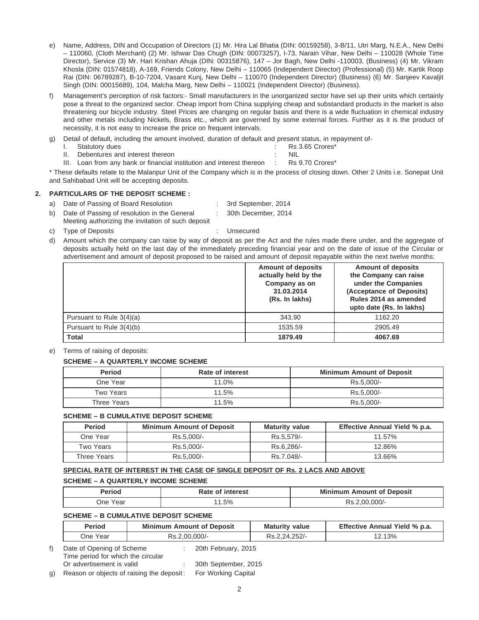- e) Name, Address, DIN and Occupation of Directors (1) Mr. Hira Lal Bhatia (DIN: 00159258), 3-B/11, Utri Marg, N.E.A., New Delhi – 110060, (Cloth Merchant) (2) Mr. Ishwar Das Chugh (DIN: 00073257), I-73, Narain Vihar, New Delhi – 110028 (Whole Time Director), Service (3) Mr. Hari Krishan Ahuja (DIN: 00315876), 147 – Jor Bagh, New Delhi -110003, (Business) (4) Mr. Vikram Khosla (DIN: 01574818), A-169, Friends Colony, New Delhi – 110065 (Independent Director) (Professional) (5) Mr. Kartik Roop Rai (DIN: 06789287), B-10-7204, Vasant Kunj, New Delhi – 110070 (Independent Director) (Business) (6) Mr. Sanjeev Kavaljit Singh (DIN: 00015689), 104, Malcha Marg, New Delhi – 110021 (Independent Director) (Business).
- f) Management's perception of risk factors:- Small manufacturers in the unorganized sector have set up their units which certainly pose a threat to the organized sector. Cheap import from China supplying cheap and substandard products in the market is also threatening our bicycle industry. Steel Prices are changing on regular basis and there is a wide fluctuation in chemical industry and other metals including Nickels, Brass etc., which are governed by some external forces. Further as it is the product of necessity, it is not easy to increase the price on frequent intervals.
- g) Detail of default, including the amount involved, duration of default and present status, in repayment of-
	- I. Statutory dues in the statutory of the statutory dues in the statutory of the statutory dues in the statutory of the statutory of the statutory of the statutory of the statutory of the statutory of the statutory of the
	-
	- II. Debentures and interest thereon **interect in the set of the CO** in NIL Loan from any bank or financial institution and interest thereon **:** Rs 9.70 Crores\* III. Loan from any bank or financial institution and interest thereon

\* These defaults relate to the Malanpur Unit of the Company which is in the process of closing down. Other 2 Units i.e. Sonepat Unit and Sahibabad Unit will be accepting deposits.

## **2. PARTICULARS OF THE DEPOSIT SCHEME :**

- a) Date of Passing of Board Resolution : 3rd September, 2014
- b) Date of Passing of resolution in the General : 30th December, 2014 Meeting authorizing the invitation of such deposit
- - -
- c) Type of Deposits : Unsecured
- d) Amount which the company can raise by way of deposit as per the Act and the rules made there under, and the aggregate of deposits actually held on the last day of the immediately preceding financial year and on the date of issue of the Circular or advertisement and amount of deposit proposed to be raised and amount of deposit repayable within the next twelve months:

|                            | <b>Amount of deposits</b><br>actually held by the<br>Company as on<br>31.03.2014<br>(Rs. In lakhs) | <b>Amount of deposits</b><br>the Company can raise<br>under the Companies<br>(Acceptance of Deposits)<br>Rules 2014 as amended<br>upto date (Rs. In lakhs) |
|----------------------------|----------------------------------------------------------------------------------------------------|------------------------------------------------------------------------------------------------------------------------------------------------------------|
| Pursuant to Rule $3(4)(a)$ | 343.90                                                                                             | 1162.20                                                                                                                                                    |
| Pursuant to Rule 3(4)(b)   | 1535.59                                                                                            | 2905.49                                                                                                                                                    |
| Total                      | 1879.49                                                                                            | 4067.69                                                                                                                                                    |

e) Terms of raising of deposits:

## **SCHEME – A QUARTERLY INCOME SCHEME**

| <b>Period</b> | Rate of interest | <b>Minimum Amount of Deposit</b> |
|---------------|------------------|----------------------------------|
| One Year      | 11.0%            | Rs.5.000/-                       |
| Two Years     | 11.5%            | Rs.5.000/-                       |
| Three Years   | 11.5%            | Rs.5.000/-                       |

## **SCHEME – B CUMULATIVE DEPOSIT SCHEME**

| <b>Period</b> | <b>Minimum Amount of Deposit</b> | <b>Maturity value</b> | Effective Annual Yield % p.a. |
|---------------|----------------------------------|-----------------------|-------------------------------|
| One Year      | Rs.5.000/-                       | Rs.5.579/-            | 11.57%                        |
| Two Years     | Rs.5.000/-                       | Rs.6.286/-            | 12.86%                        |
| Three Years   | Rs.5.000/-                       | Rs.7.048/-            | 13.66%                        |

## **SPECIAL RATE OF INTEREST IN THE CASE OF SINGLE DEPOSIT OF Rs. 2 LACS AND ABOVE**

## **SCHEME – A QUARTERLY INCOME SCHEME**

| Rate of interest<br>Period |                 | <b>Minimum Amount of Deposit</b> |  |
|----------------------------|-----------------|----------------------------------|--|
| One Year                   | $^{\circ}1.5\%$ | Rs.2,00,000/-                    |  |

# **SCHEME – B CUMULATIVE DEPOSIT SCHEME**

| <b>Period</b>                                                   | <b>Minimum Amount of Deposit</b> |                     | <b>Maturity value</b> | Effective Annual Yield % p.a. |
|-----------------------------------------------------------------|----------------------------------|---------------------|-----------------------|-------------------------------|
| One Year                                                        | Rs.2.00.000/-                    |                     | Rs.2.24.252/-         | 12.13%                        |
| Date of Opening of Scheme<br>Time period for which the circular |                                  | 20th February, 2015 |                       |                               |

Or advertisement is valid : 30th September, 2015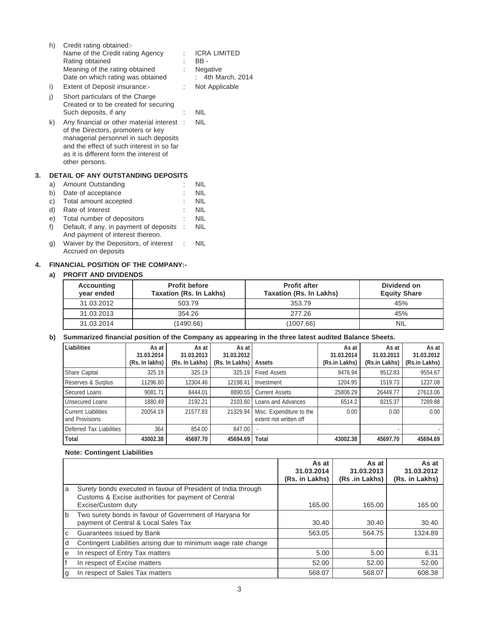|    | h) | Credit rating obtained:-                  |   |                     |
|----|----|-------------------------------------------|---|---------------------|
|    |    | Name of the Credit rating Agency          |   | <b>ICRA LIMITED</b> |
|    |    | Rating obtained                           |   | BB-                 |
|    |    | Meaning of the rating obtained            |   | Negative            |
|    |    | Date on which rating was obtained         |   | 4th March, 2014     |
|    | i) | Extent of Deposit insurance:-             | ÷ | Not Applicable      |
|    | j) | Short particulars of the Charge           |   |                     |
|    |    | Created or to be created for securing     |   |                     |
|    |    | Such deposits, if any                     | t | <b>NIL</b>          |
|    | k) | Any financial or other material interest: |   | <b>NIL</b>          |
|    |    | of the Directors, promoters or key        |   |                     |
|    |    | managerial personnel in such deposits     |   |                     |
|    |    | and the effect of such interest in so far |   |                     |
|    |    | as it is different form the interest of   |   |                     |
|    |    | other persons.                            |   |                     |
| 3. |    | DETAIL OF ANY OUTSTANDING DEPOSITS        |   |                     |
|    | a) | Amount Outstanding                        |   | <b>NIL</b>          |
|    | b) | Date of acceptance                        |   | <b>NIL</b>          |
|    | C) | Total amount accepted                     |   | <b>NIL</b>          |
|    | d) | Rate of Interest                          |   | <b>NIL</b>          |
|    | e) | Total number of depositors                |   | <b>NIL</b>          |
|    |    |                                           |   |                     |

- f) Default, if any, in payment of deposits : NIL And payment of interest thereon. g) Waiver by the Depositors, of interest : NIL
- Accrued on deposits

# **4. FINANCIAL POSITION OF THE COMPANY:-**

# **a) PROFIT AND DIVIDENDS**

| <b>Accounting</b><br>year ended | <b>Profit before</b><br><b>Taxation (Rs. In Lakhs)</b> | <b>Profit after</b><br><b>Taxation (Rs. In Lakhs)</b> | Dividend on<br><b>Equity Share</b> |
|---------------------------------|--------------------------------------------------------|-------------------------------------------------------|------------------------------------|
| 31.03.2012                      | 503.79                                                 | 353.79                                                | 45%                                |
| 31.03.2013                      | 354.26                                                 | 277.26                                                | 45%                                |
| 31.03.2014                      | (1490.66)                                              | (1007.66)                                             | <b>NIL</b>                         |

# **b) Summarized financial position of the Company as appearing in the three latest audited Balance Sheets.**

| Liabilities                                  | As at<br>31.03.2014<br>(Rs. In lakhs) | As at<br>31.03.2013<br>(Rs. In Lakhs) | As at<br>31.03.2012<br>(Rs. In Lakhs) | Assets                                             | As at<br>31.03.2014<br>(Rs.in Lakhs) | As at<br>31.03.2013<br>(Rs.in Lakhs) | As at<br>31.03.2012<br>(Rs.in Lakhs) |
|----------------------------------------------|---------------------------------------|---------------------------------------|---------------------------------------|----------------------------------------------------|--------------------------------------|--------------------------------------|--------------------------------------|
| Share Capital                                | 325.19                                | 325.19                                | 325.19                                | <b>Fixed Assets</b>                                | 9476.94                              | 9512.83                              | 9554.67                              |
| Reserves & Surplus                           | 11296.80                              | 12304.46                              | 12198.41                              | Investment                                         | 1204.95                              | 1519.73                              | 1237.08                              |
| Secured Loans                                | 9081.71                               | 8444.01                               | 8890.55                               | <b>Current Assets</b>                              | 25806.29                             | 26449.77                             | 27613.06                             |
| Unsecured Loans                              | 1880.49                               | 2192.21                               | 2103.60                               | Loans and Advances                                 | 6514.2                               | 8215.37                              | 7289.88                              |
| <b>Current Liabilities</b><br>and Provisions | 20054.19                              | 21577.83                              | 21329.94                              | Misc. Expenditure to the<br>extent not written off | 0.00                                 | 0.00                                 | 0.00                                 |
| Deferred Tax Liabilities                     | 364                                   | 854.00                                | 847.00                                | ٠                                                  |                                      |                                      |                                      |
| Total                                        | 43002.38                              | 45697.70                              | 45694.69                              | <b>Total</b>                                       | 43002.38                             | 45697.70                             | 45694.69                             |

# **Note: Contingent Liabilities**

|     |                                                                                                                                            | As at<br>31.03.2014<br>(Rs. in Lakhs) | As at<br>31.03.2013<br>(Rs .in Lakhs) | As at<br>31.03.2012<br>(Rs. in Lakhs) |
|-----|--------------------------------------------------------------------------------------------------------------------------------------------|---------------------------------------|---------------------------------------|---------------------------------------|
| a   | Surety bonds executed in favour of President of India through<br>Customs & Excise authorities for payment of Central<br>Excise/Custom duty | 165.00                                | 165.00                                | 165.00                                |
| l b | Two surety bonds in favour of Government of Haryana for<br>payment of Central & Local Sales Tax                                            | 30.40                                 | 30.40                                 | 30.40                                 |
| C   | Guarantees issued by Bank                                                                                                                  | 563.05                                | 564.75                                | 1324.89                               |
| d   | Contingent Liabilities arising due to minimum wage rate change                                                                             |                                       |                                       |                                       |
| е   | In respect of Entry Tax matters                                                                                                            | 5.00                                  | 5.00                                  | 6.31                                  |
|     | In respect of Excise matters                                                                                                               | 52.00                                 | 52.00                                 | 52.00                                 |
| g   | In respect of Sales Tax matters                                                                                                            | 568.07                                | 568.07                                | 608.38                                |